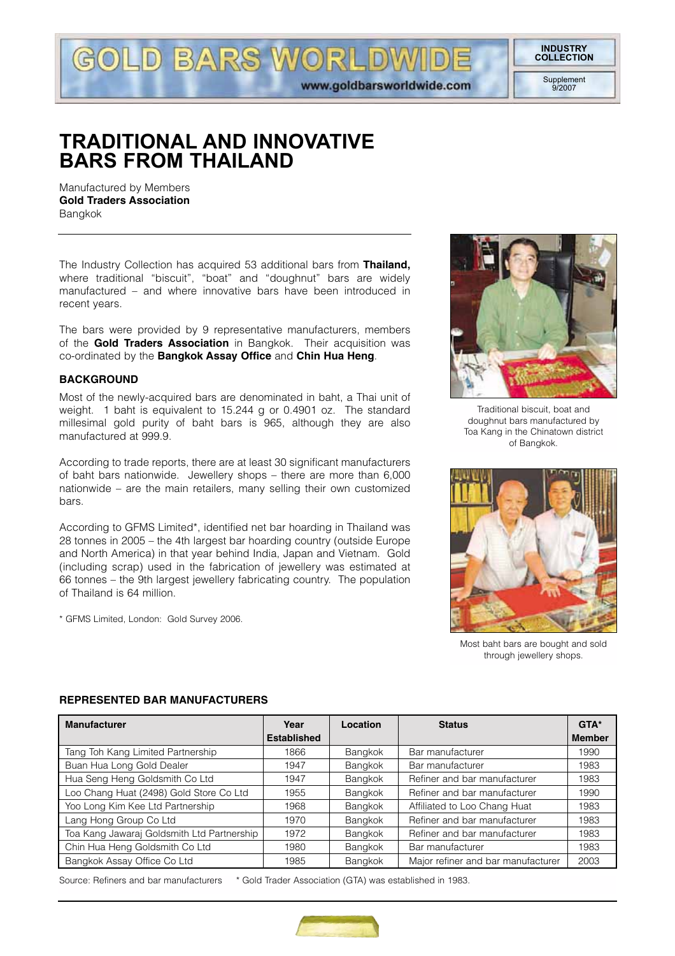**INDUSTRY COLLECTION**

> Supplement  $Q/2007$

# **TRADITIONAL AND INNOVATIVE BARS FROM THAILAND**

LD BARS WORLDW

www.goldbarsworldwide.com

Manufactured by Members **Gold Traders Association** Bangkok

The Industry Collection has acquired 53 additional bars from **Thailand,** where traditional "biscuit", "boat" and "doughnut" bars are widely manufactured – and where innovative bars have been introduced in recent years.

The bars were provided by 9 representative manufacturers, members of the **Gold Traders Association** in Bangkok. Their acquisition was co-ordinated by the **Bangkok Assay Office** and **Chin Hua Heng**.

#### **BACKGROUND**

Most of the newly-acquired bars are denominated in baht, a Thai unit of weight. 1 baht is equivalent to 15.244 g or 0.4901 oz. The standard millesimal gold purity of baht bars is 965, although they are also manufactured at 999.9.

According to trade reports, there are at least 30 significant manufacturers of baht bars nationwide. Jewellery shops – there are more than 6,000 nationwide – are the main retailers, many selling their own customized bars.

According to GFMS Limited\*, identified net bar hoarding in Thailand was 28 tonnes in 2005 – the 4th largest bar hoarding country (outside Europe and North America) in that year behind India, Japan and Vietnam. Gold (including scrap) used in the fabrication of jewellery was estimated at 66 tonnes – the 9th largest jewellery fabricating country. The population of Thailand is 64 million.

\* GFMS Limited, London: Gold Survey 2006.



Traditional biscuit, boat and doughnut bars manufactured by Toa Kang in the Chinatown district of Bangkok.



Most baht bars are bought and sold through jewellery shops.

#### **REPRESENTED BAR MANUFACTURERS**

| <b>Manufacturer</b>                        | Year               | Location | <b>Status</b>                      | GTA*          |
|--------------------------------------------|--------------------|----------|------------------------------------|---------------|
|                                            | <b>Established</b> |          |                                    | <b>Member</b> |
| Tang Toh Kang Limited Partnership          | 1866               | Bangkok  | Bar manufacturer                   | 1990          |
| Buan Hua Long Gold Dealer                  | 1947               | Bangkok  | Bar manufacturer                   | 1983          |
| Hua Seng Heng Goldsmith Co Ltd             | 1947               | Bangkok  | Refiner and bar manufacturer       | 1983          |
| Loo Chang Huat (2498) Gold Store Co Ltd    | 1955               | Bangkok  | Refiner and bar manufacturer       | 1990          |
| Yoo Long Kim Kee Ltd Partnership           | 1968               | Bangkok  | Affiliated to Loo Chang Huat       | 1983          |
| Lang Hong Group Co Ltd                     | 1970               | Bangkok  | Refiner and bar manufacturer       | 1983          |
| Toa Kang Jawaraj Goldsmith Ltd Partnership | 1972               | Bangkok  | Refiner and bar manufacturer       | 1983          |
| Chin Hua Heng Goldsmith Co Ltd             | 1980               | Bangkok  | Bar manufacturer                   | 1983          |
| Bangkok Assay Office Co Ltd                | 1985               | Bangkok  | Major refiner and bar manufacturer | 2003          |

Source: Refiners and bar manufacturers \* Gold Trader Association (GTA) was established in 1983.

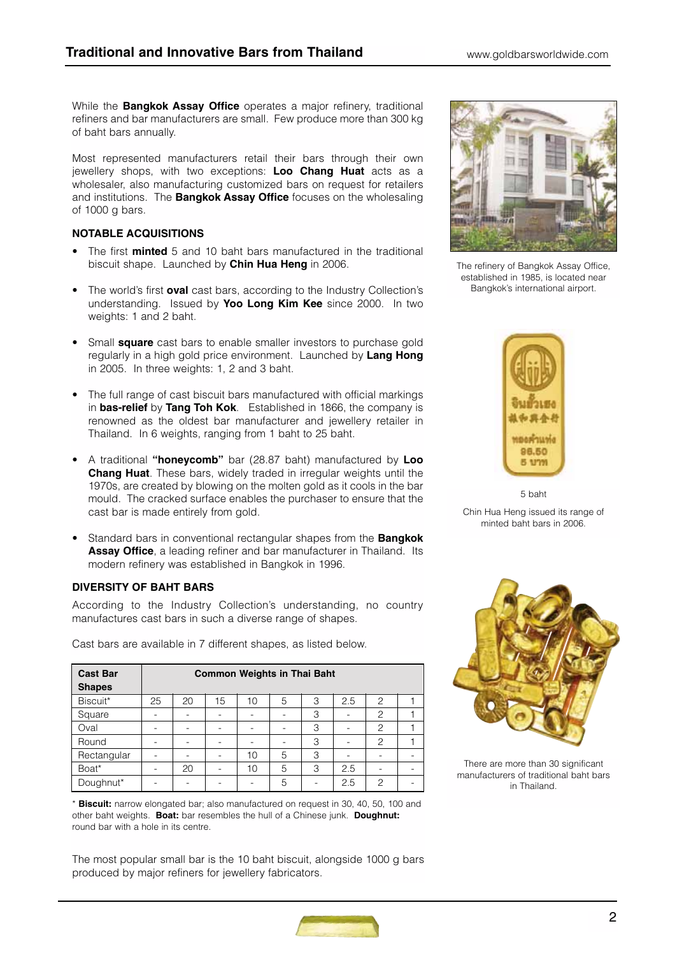While the **Bangkok Assay Office** operates a major refinery, traditional refiners and bar manufacturers are small. Few produce more than 300 kg of baht bars annually.

Most represented manufacturers retail their bars through their own jewellery shops, with two exceptions: **Loo Chang Huat** acts as a wholesaler, also manufacturing customized bars on request for retailers and institutions. The **Bangkok Assay Office** focuses on the wholesaling of 1000 g bars.

## **NOTABLE ACQUISITIONS**

- The first **minted** 5 and 10 baht bars manufactured in the traditional biscuit shape. Launched by **Chin Hua Heng** in 2006.
- The world's first **oval** cast bars, according to the Industry Collection's understanding. Issued by **Yoo Long Kim Kee** since 2000. In two weights: 1 and 2 baht.
- Small **square** cast bars to enable smaller investors to purchase gold regularly in a high gold price environment. Launched by **Lang Hong** in 2005. In three weights: 1, 2 and 3 baht.
- The full range of cast biscuit bars manufactured with official markings in **bas-relief** by **Tang Toh Kok**. Established in 1866, the company is renowned as the oldest bar manufacturer and jewellery retailer in Thailand. In 6 weights, ranging from 1 baht to 25 baht.
- A traditional **"honeycomb"** bar (28.87 baht) manufactured by **Loo Chang Huat**. These bars, widely traded in irregular weights until the 1970s, are created by blowing on the molten gold as it cools in the bar mould. The cracked surface enables the purchaser to ensure that the cast bar is made entirely from gold.
- Standard bars in conventional rectangular shapes from the **Bangkok Assay Office**, a leading refiner and bar manufacturer in Thailand. Its modern refinery was established in Bangkok in 1996.

#### **DIVERSITY OF BAHT BARS**

According to the Industry Collection's understanding, no country manufactures cast bars in such a diverse range of shapes.

| <b>Cast Bar</b><br><b>Shapes</b> | <b>Common Weights in Thai Baht</b> |    |    |    |   |   |     |                |  |
|----------------------------------|------------------------------------|----|----|----|---|---|-----|----------------|--|
| Biscuit*                         | 25                                 | 20 | 15 | 10 | 5 | 3 | 2.5 | $\overline{c}$ |  |
| Square                           |                                    |    |    |    |   | 3 |     | $\overline{c}$ |  |
| Oval                             |                                    | -  | -  |    |   | 3 |     | $\overline{c}$ |  |
| Round                            |                                    |    | -  | -  |   | 3 |     | $\overline{c}$ |  |
| Rectangular                      |                                    | -  | -  | 10 | 5 | 3 | -   |                |  |
| Boat*                            |                                    | 20 | -  | 10 | 5 | 3 | 2.5 |                |  |
| Doughnut*                        |                                    |    |    |    | 5 |   | 2.5 | 2              |  |

Cast bars are available in 7 different shapes, as listed below.

\* **Biscuit:** narrow elongated bar; also manufactured on request in 30, 40, 50, 100 and other baht weights. **Boat:** bar resembles the hull of a Chinese junk. **Doughnut:** round bar with a hole in its centre.

The most popular small bar is the 10 baht biscuit, alongside 1000 g bars produced by major refiners for jewellery fabricators.



The refinery of Bangkok Assay Office, established in 1985, is located near Bangkok's international airport.



5 baht Chin Hua Heng issued its range of minted baht bars in 2006.



There are more than 30 significant manufacturers of traditional baht bars in Thailand.

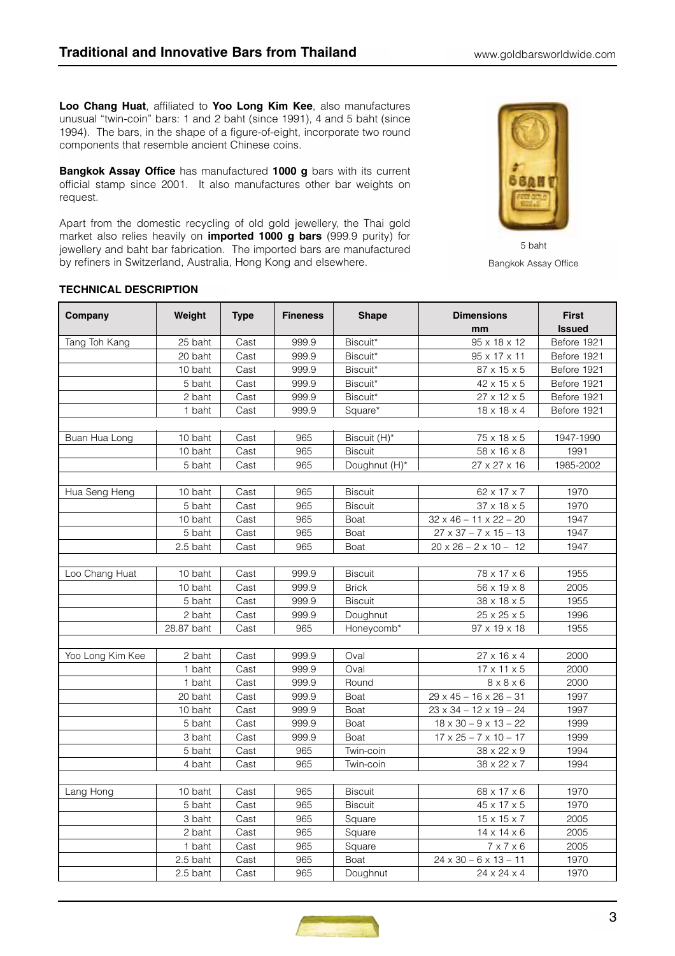**Loo Chang Huat**, affiliated to **Yoo Long Kim Kee**, also manufactures unusual "twin-coin" bars: 1 and 2 baht (since 1991), 4 and 5 baht (since 1994). The bars, in the shape of a figure-of-eight, incorporate two round components that resemble ancient Chinese coins.

**Bangkok Assay Office** has manufactured **1000 g** bars with its current official stamp since 2001. It also manufactures other bar weights on request.

Apart from the domestic recycling of old gold jewellery, the Thai gold market also relies heavily on **imported 1000 g bars** (999.9 purity) for jewellery and baht bar fabrication. The imported bars are manufactured by refiners in Switzerland, Australia, Hong Kong and elsewhere.



Bangkok Assay Office

#### **TECHNICAL DESCRIPTION**

| Company          | Weight     | <b>Type</b> | <b>Fineness</b> | <b>Shape</b>   | <b>Dimensions</b><br>mm            | <b>First</b><br><b>Issued</b> |
|------------------|------------|-------------|-----------------|----------------|------------------------------------|-------------------------------|
| Tang Toh Kang    | 25 baht    | Cast        | 999.9           | Biscuit*       | 95 x 18 x 12                       | Before 1921                   |
|                  | 20 baht    | Cast        | 999.9           | Biscuit*       | 95 x 17 x 11                       | Before 1921                   |
|                  | 10 baht    | Cast        | 999.9           | Biscuit*       | $87 \times 15 \times 5$            | Before 1921                   |
|                  | 5 baht     | Cast        | 999.9           | Biscuit*       | $42 \times 15 \times 5$            | Before 1921                   |
|                  | 2 baht     | Cast        | 999.9           | Biscuit*       | $27 \times 12 \times 5$            | Before 1921                   |
|                  | 1 baht     | Cast        | 999.9           | Square*        | $18 \times 18 \times 4$            | Before 1921                   |
|                  |            |             |                 |                |                                    |                               |
| Buan Hua Long    | 10 baht    | Cast        | 965             | Biscuit (H)*   | $75 \times 18 \times 5$            | 1947-1990                     |
|                  | 10 baht    | Cast        | 965             | <b>Biscuit</b> | 58 x 16 x 8                        | 1991                          |
|                  | 5 baht     | Cast        | 965             | Doughnut (H)*  | 27 x 27 x 16                       | 1985-2002                     |
|                  |            |             |                 |                |                                    |                               |
| Hua Seng Heng    | 10 baht    | Cast        | 965             | <b>Biscuit</b> | 62 x 17 x 7                        | 1970                          |
|                  | 5 baht     | Cast        | 965             | <b>Biscuit</b> | $37 \times 18 \times 5$            | 1970                          |
|                  | 10 baht    | Cast        | 965             | Boat           | $32 \times 46 - 11 \times 22 - 20$ | 1947                          |
|                  | 5 baht     | Cast        | 965             | Boat           | $27 \times 37 - 7 \times 15 - 13$  | 1947                          |
|                  | 2.5 baht   | Cast        | 965             | Boat           | $20 \times 26 - 2 \times 10 - 12$  | 1947                          |
|                  |            |             |                 |                |                                    |                               |
| Loo Chang Huat   | 10 baht    | Cast        | 999.9           | <b>Biscuit</b> | 78 x 17 x 6                        | 1955                          |
|                  | 10 baht    | Cast        | 999.9           | <b>Brick</b>   | $56 \times 19 \times 8$            | 2005                          |
|                  | 5 baht     | Cast        | 999.9           | <b>Biscuit</b> | 38 x 18 x 5                        | 1955                          |
|                  | 2 baht     | Cast        | 999.9           | Doughnut       | $25 \times 25 \times 5$            | 1996                          |
|                  | 28.87 baht | Cast        | 965             | Honeycomb*     | 97 x 19 x 18                       | 1955                          |
|                  |            |             |                 |                |                                    |                               |
| Yoo Long Kim Kee | 2 baht     | Cast        | 999.9           | Oval           | $27 \times 16 \times 4$            | 2000                          |
|                  | 1 baht     | Cast        | 999.9           | Oval           | $17 \times 11 \times 5$            | 2000                          |
|                  | 1 baht     | Cast        | 999.9           | Round          | $8 \times 8 \times 6$              | 2000                          |
|                  | 20 baht    | Cast        | 999.9           | Boat           | $29 \times 45 - 16 \times 26 - 31$ | 1997                          |
|                  | 10 baht    | Cast        | 999.9           | Boat           | $23 \times 34 - 12 \times 19 - 24$ | 1997                          |
|                  | 5 baht     | Cast        | 999.9           | Boat           | $18 \times 30 - 9 \times 13 - 22$  | 1999                          |
|                  | 3 baht     | Cast        | 999.9           | Boat           | $17 \times 25 - 7 \times 10 - 17$  | 1999                          |
|                  | 5 baht     | Cast        | 965             | Twin-coin      | 38 x 22 x 9                        | 1994                          |
|                  | 4 baht     | Cast        | 965             | Twin-coin      | 38 x 22 x 7                        | 1994                          |
|                  |            |             |                 |                |                                    |                               |
| Lang Hong        | 10 baht    | Cast        | 965             | <b>Biscuit</b> | 68 x 17 x 6                        | 1970                          |
|                  | 5 baht     | Cast        | 965             | <b>Biscuit</b> | 45 x 17 x 5                        | 1970                          |
|                  | 3 baht     | Cast        | 965             | Square         | $15 \times 15 \times 7$            | 2005                          |
|                  | 2 baht     | Cast        | 965             | Square         | $14 \times 14 \times 6$            | 2005                          |
|                  | 1 baht     | Cast        | 965             | Square         | $7 \times 7 \times 6$              | 2005                          |
|                  | 2.5 baht   | Cast        | 965             | Boat           | $24 \times 30 - 6 \times 13 - 11$  | 1970                          |
|                  | 2.5 baht   | Cast        | 965             | Doughnut       | 24 x 24 x 4                        | 1970                          |

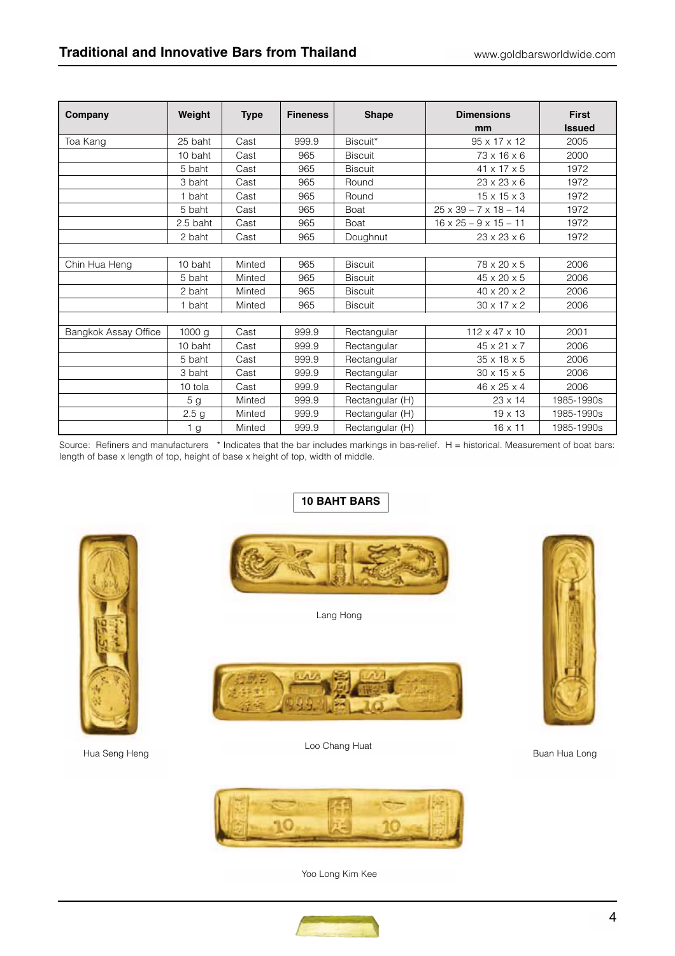| Company              | Weight           | <b>Type</b> | <b>Fineness</b> | <b>Shape</b>    | <b>Dimensions</b><br>mm           | <b>First</b><br><b>Issued</b> |
|----------------------|------------------|-------------|-----------------|-----------------|-----------------------------------|-------------------------------|
| Toa Kang             | 25 baht          | Cast        | 999.9           | Biscuit*        | $95 \times 17 \times 12$          | 2005                          |
|                      | 10 baht          | Cast        | 965             | <b>Biscuit</b>  | 73 x 16 x 6                       | 2000                          |
|                      | 5 baht           | Cast        | 965             | <b>Biscuit</b>  | 41 x 17 x 5                       | 1972                          |
|                      | 3 baht           | Cast        | 965             | Round           | $23 \times 23 \times 6$           | 1972                          |
|                      | 1 baht           | Cast        | 965             | Round           | $15 \times 15 \times 3$           | 1972                          |
|                      | 5 baht           | Cast        | 965             | Boat            | $25 \times 39 - 7 \times 18 - 14$ | 1972                          |
|                      | 2.5 baht         | Cast        | 965             | Boat            | $16 \times 25 - 9 \times 15 - 11$ | 1972                          |
|                      | 2 baht           | Cast        | 965             | Doughnut        | $23 \times 23 \times 6$           | 1972                          |
|                      |                  |             |                 |                 |                                   |                               |
| Chin Hua Heng        | 10 baht          | Minted      | 965             | <b>Biscuit</b>  | 78 x 20 x 5                       | 2006                          |
|                      | 5 baht           | Minted      | 965             | <b>Biscuit</b>  | 45 x 20 x 5                       | 2006                          |
|                      | 2 baht           | Minted      | 965             | <b>Biscuit</b>  | $40 \times 20 \times 2$           | 2006                          |
|                      | 1 baht           | Minted      | 965             | <b>Biscuit</b>  | $30 \times 17 \times 2$           | 2006                          |
|                      |                  |             |                 |                 |                                   |                               |
| Bangkok Assay Office | 1000 g           | Cast        | 999.9           | Rectangular     | $112 \times 47 \times 10$         | 2001                          |
|                      | 10 baht          | Cast        | 999.9           | Rectangular     | 45 x 21 x 7                       | 2006                          |
|                      | 5 baht           | Cast        | 999.9           | Rectangular     | $35 \times 18 \times 5$           | 2006                          |
|                      | 3 baht           | Cast        | 999.9           | Rectangular     | $30 \times 15 \times 5$           | 2006                          |
|                      | 10 tola          | Cast        | 999.9           | Rectangular     | 46 x 25 x 4                       | 2006                          |
|                      | 5 <sub>g</sub>   | Minted      | 999.9           | Rectangular (H) | $23 \times 14$                    | 1985-1990s                    |
|                      | 2.5 <sub>g</sub> | Minted      | 999.9           | Rectangular (H) | $19 \times 13$                    | 1985-1990s                    |
|                      | 1 <sub>g</sub>   | Minted      | 999.9           | Rectangular (H) | $16 \times 11$                    | 1985-1990s                    |

Source: Refiners and manufacturers \* Indicates that the bar includes markings in bas-relief. H = historical. Measurement of boat bars: length of base x length of top, height of base x height of top, width of middle.

# **10 BAHT BARS**



Hua Seng Heng Buan Hua Long Buan Hua Long Buan Hua Long Buan Hua Long

Lang Hong



Loo Chang Huat







Yoo Long Kim Kee

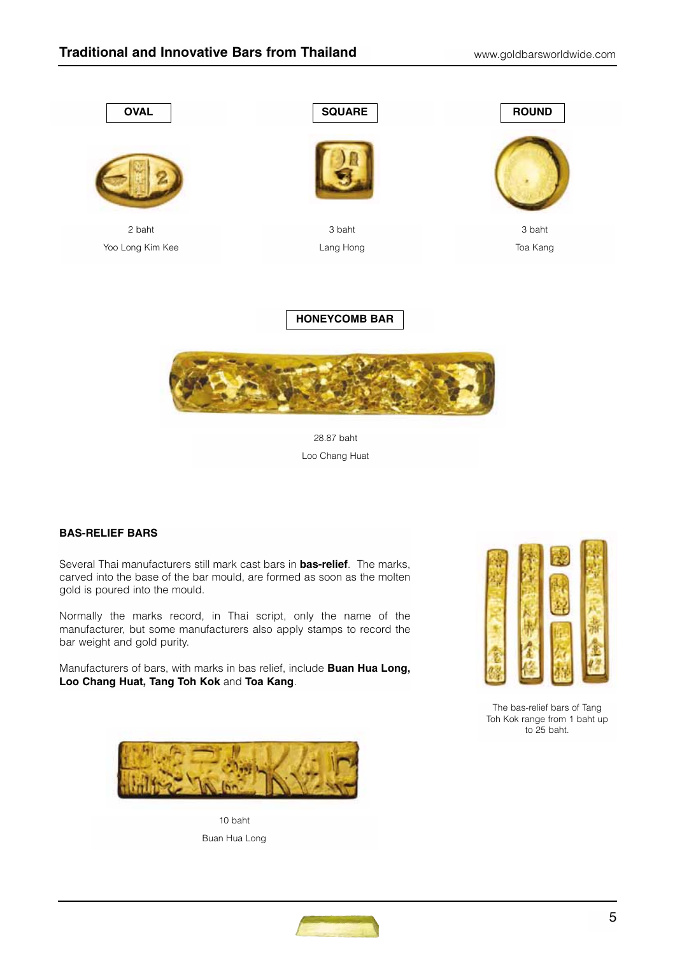



28.87 baht Loo Chang Huat

# **BAS-RELIEF BARS**

Several Thai manufacturers still mark cast bars in **bas-relief**. The marks, carved into the base of the bar mould, are formed as soon as the molten gold is poured into the mould.

Normally the marks record, in Thai script, only the name of the manufacturer, but some manufacturers also apply stamps to record the bar weight and gold purity.

Manufacturers of bars, with marks in bas relief, include **Buan Hua Long, Loo Chang Huat, Tang Toh Kok** and **Toa Kang**.



The bas-relief bars of Tang Toh Kok range from 1 baht up to 25 baht.



10 baht Buan Hua Long

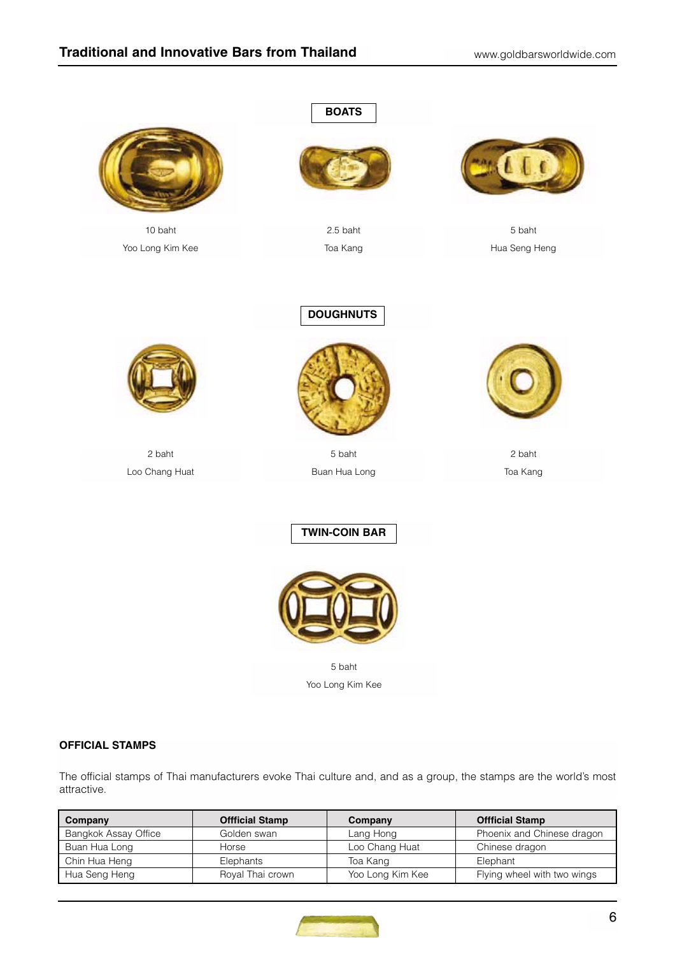

10 baht Yoo Long Kim Kee





2.5 baht Toa Kang



5 baht Hua Seng Heng



2 baht Loo Chang Huat



**DOUGHNUTS**

5 baht Buan Hua Long



2 baht Toa Kang

**TWIN-COIN BAR**



5 baht Yoo Long Kim Kee

## **OFFICIAL STAMPS**

The official stamps of Thai manufacturers evoke Thai culture and, and as a group, the stamps are the world's most attractive.

| Company              | <b>Offficial Stamp</b> | Company          | <b>Offficial Stamp</b>      |
|----------------------|------------------------|------------------|-----------------------------|
| Bangkok Assay Office | Golden swan            | Lang Hong        | Phoenix and Chinese dragon  |
| Buan Hua Long        | Horse                  | Loo Chang Huat   | Chinese dragon              |
| Chin Hua Heng        | Elephants              | Toa Kang         | Elephant                    |
| Hua Seng Heng        | Royal Thai crown       | Yoo Long Kim Kee | Flying wheel with two wings |